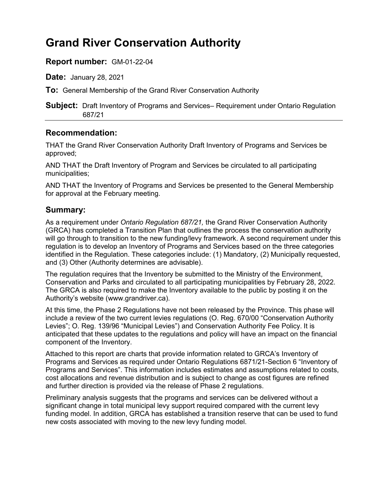# **Grand River Conservation Authority**

### **Report number:** GM-01-22-04

**Date:** January 28, 2021

**To:** General Membership of the Grand River Conservation Authority

**Subject:** Draft Inventory of Programs and Services– Requirement under Ontario Regulation 687/21

## **Recommendation:**

THAT the Grand River Conservation Authority Draft Inventory of Programs and Services be approved;

AND THAT the Draft Inventory of Program and Services be circulated to all participating municipalities;

AND THAT the Inventory of Programs and Services be presented to the General Membership for approval at the February meeting.

### **Summary:**

As a requirement under *Ontario Regulation 687/21,* the Grand River Conservation Authority (GRCA) has completed a Transition Plan that outlines the process the conservation authority will go through to transition to the new funding/levy framework. A second requirement under this regulation is to develop an Inventory of Programs and Services based on the three categories identified in the Regulation. These categories include: (1) Mandatory, (2) Municipally requested, and (3) Other (Authority determines are advisable).

The regulation requires that the Inventory be submitted to the Ministry of the Environment, Conservation and Parks and circulated to all participating municipalities by February 28, 2022. The GRCA is also required to make the Inventory available to the public by posting it on the Authority's website ([www.grandriver.ca\)](www.grandriver.ca).

At this time, the Phase 2 Regulations have not been released by the Province. This phase will include a review of the two current levies regulations (O. Reg. 670/00 "Conservation Authority Levies"; O. Reg. 139/96 "Municipal Levies") and Conservation Authority Fee Policy. It is anticipated that these updates to the regulations and policy will have an impact on the financial component of the Inventory.

Attached to this report are charts that provide information related to GRCA's Inventory of Programs and Services as required under Ontario Regulations 6871/21-Section 6 "Inventory of Programs and Services". This information includes estimates and assumptions related to costs, cost allocations and revenue distribution and is subject to change as cost figures are refined and further direction is provided via the release of Phase 2 regulations.

Preliminary analysis suggests that the programs and services can be delivered without a significant change in total municipal levy support required compared with the current levy funding model. In addition, GRCA has established a transition reserve that can be used to fund new costs associated with moving to the new levy funding model.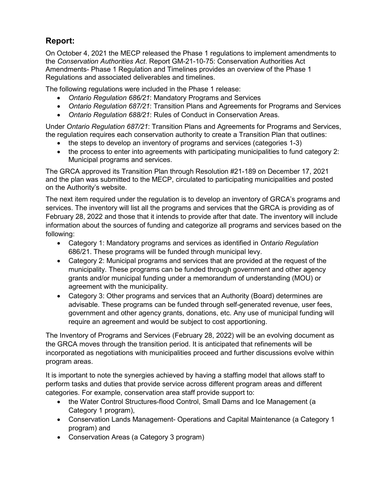## **Report:**

Regulations and associated deliverables and timelines. On October 4, 2021 the MECP released the Phase 1 regulations to implement amendments to the *Conservation Authorities Act*. Report GM-21-10-75: Conservation Authorities Act Amendments- Phase 1 Regulation and Timelines provides an overview of the Phase 1

The following regulations were included in the Phase 1 release:

- *Ontario Regulation 686/21*: Mandatory Programs and Services
- *Ontario Regulation 687/21*: Transition Plans and Agreements for Programs and Services
- *Ontario Regulation 688/21*: Rules of Conduct in Conservation Areas.

 the regulation requires each conservation authority to create a Transition Plan that outlines: Under *Ontario Regulation 687/21*: Transition Plans and Agreements for Programs and Services,

- the steps to develop an inventory of programs and services (categories 1-3)
- Municipal programs and services. • the process to enter into agreements with participating municipalities to fund category 2:

The GRCA approved its Transition Plan through Resolution #21-189 on December 17, 2021 and the plan was submitted to the MECP, circulated to participating municipalities and posted on the Authority's website.

 The next item required under the regulation is to develop an inventory of GRCA's programs and services. The inventory will list all the programs and services that the GRCA is providing as of February 28, 2022 and those that it intends to provide after that date. The inventory will include information about the sources of funding and categorize all programs and services based on the following:

- Category 1: Mandatory programs and services as identified in *Ontario Regulation*  686/21. These programs will be funded through municipal levy.
- municipality. These programs can be funded through government and other agency grants and/or municipal funding under a memorandum of understanding (MOU) or • Category 2: Municipal programs and services that are provided at the request of the agreement with the municipality.
- advisable. These programs can be funded through self-generated revenue, user fees, government and other agency grants, donations, etc. Any use of municipal funding will • Category 3: Other programs and services that an Authority (Board) determines are require an agreement and would be subject to cost apportioning.

 the GRCA moves through the transition period. It is anticipated that refinements will be incorporated as negotiations with municipalities proceed and further discussions evolve within The Inventory of Programs and Services (February 28, 2022) will be an evolving document as program areas.

It is important to note the synergies achieved by having a staffing model that allows staff to perform tasks and duties that provide service across different program areas and different categories. For example, conservation area staff provide support to:

- the Water Control Structures-flood Control, Small Dams and Ice Management (a Category 1 program),
- Conservation Lands Management- Operations and Capital Maintenance (a Category 1 program) and
- Conservation Areas (a Category 3 program)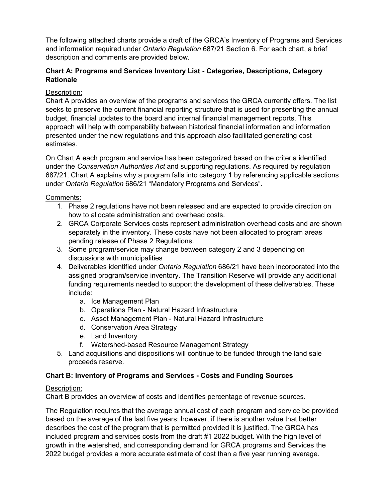and information required under *Ontario Regulation* 687/21 Section 6. For each chart, a brief The following attached charts provide a draft of the GRCA's Inventory of Programs and Services description and comments are provided below.

#### **Chart A: Programs and Services Inventory List - Categories, Descriptions, Category Rationale**

#### Description:

 presented under the new regulations and this approach also facilitated generating cost Chart A provides an overview of the programs and services the GRCA currently offers. The list seeks to preserve the current financial reporting structure that is used for presenting the annual budget, financial updates to the board and internal financial management reports. This approach will help with comparability between historical financial information and information estimates.

 under the *Conservation Authorities Act* and supporting regulations. As required by regulation 687/21, Chart A explains why a program falls into category 1 by referencing applicable sections On Chart A each program and service has been categorized based on the criteria identified under *Ontario Regulation* 686/21 "Mandatory Programs and Services".

#### Comments:

- 1. Phase 2 regulations have not been released and are expected to provide direction on how to allocate administration and overhead costs.
- 2. GRCA Corporate Services costs represent administration overhead costs and are shown separately in the inventory. These costs have not been allocated to program areas pending release of Phase 2 Regulations.
- 3. Some program/service may change between category 2 and 3 depending on discussions with municipalities
- funding requirements needed to support the development of these deliverables. These 4. Deliverables identified under *Ontario Regulation* 686/21 have been incorporated into the assigned program/service inventory. The Transition Reserve will provide any additional include:
	- a. Ice Management Plan
	- b. Operations Plan Natural Hazard Infrastructure
	- c. Asset Management Plan Natural Hazard Infrastructure
	- d. Conservation Area Strategy
	- e. Land Inventory
	- f. Watershed-based Resource Management Strategy
- proceeds reserve. 5. Land acquisitions and dispositions will continue to be funded through the land sale

#### **Chart B: Inventory of Programs and Services - Costs and Funding Sources**

#### Description:

Chart B provides an overview of costs and identifies percentage of revenue sources.

 based on the average of the last five years; however, if there is another value that better describes the cost of the program that is permitted provided it is justified. The GRCA has included program and services costs from the draft #1 2022 budget. With the high level of 2022 budget provides a more accurate estimate of cost than a five year running average. The Regulation requires that the average annual cost of each program and service be provided growth in the watershed, and corresponding demand for GRCA programs and Services the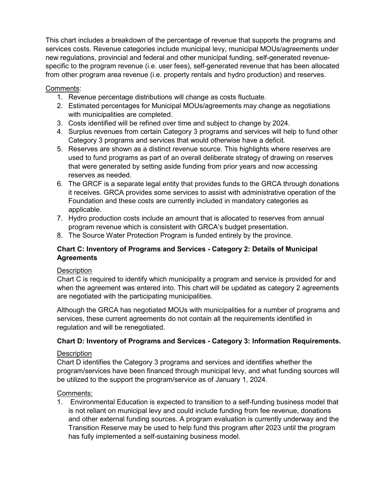new regulations, provincial and federal and other municipal funding, self-generated revenue- from other program area revenue (i.e. property rentals and hydro production) and reserves. This chart includes a breakdown of the percentage of revenue that supports the programs and services costs. Revenue categories include municipal levy, municipal MOUs/agreements under specific to the program revenue (i.e. user fees), self-generated revenue that has been allocated

#### Comments:

- 1. Revenue percentage distributions will change as costs fluctuate.
- 2. Estimated percentages for Municipal MOUs/agreements may change as negotiations with municipalities are completed.
- 3. Costs identified will be refined over time and subject to change by 2024.
- Category 3 programs and services that would otherwise have a deficit. 4. Surplus revenues from certain Category 3 programs and services will help to fund other
- Category 3 programs and services that would otherwise have a deficit. 5. Reserves are shown as a distinct revenue source. This highlights where reserves are used to fund programs as part of an overall deliberate strategy of drawing on reserves that were generated by setting aside funding from prior years and now accessing reserves as needed.
- 6. The GRCF is a separate legal entity that provides funds to the GRCA through donations Foundation and these costs are currently included in mandatory categories as it receives. GRCA provides some services to assist with administrative operation of the applicable.
- 7. Hydro production costs include an amount that is allocated to reserves from annual program revenue which is consistent with GRCA's budget presentation.
- 8. The Source Water Protection Program is funded entirely by the province.

#### **Chart C: Inventory of Programs and Services - Category 2: Details of Municipal Agreements**

#### **Description**

Chart C is required to identify which municipality a program and service is provided for and when the agreement was entered into. This chart will be updated as category 2 agreements are negotiated with the participating municipalities.

Although the GRCA has negotiated MOUs with municipalities for a number of programs and services, these current agreements do not contain all the requirements identified in regulation and will be renegotiated.

#### **Chart D: Inventory of Programs and Services - Category 3: Information Requirements.**

#### **Description**

Chart D identifies the Category 3 programs and services and identifies whether the program/services have been financed through municipal levy, and what funding sources will be utilized to the support the program/service as of January 1, 2024.

#### Comments:

 1. Environmental Education is expected to transition to a self-funding business model that is not reliant on municipal levy and could include funding from fee revenue, donations and other external funding sources. A program evaluation is currently underway and the Transition Reserve may be used to help fund this program after 2023 until the program has fully implemented a self-sustaining business model.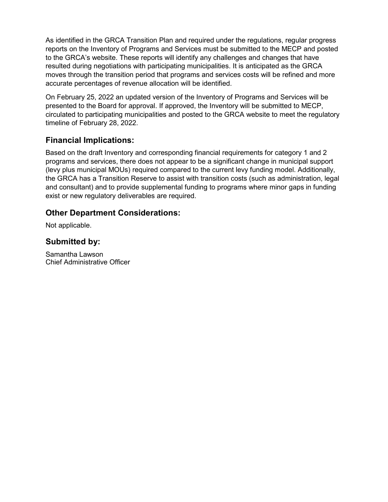resulted during negotiations with participating municipalities. It is anticipated as the GRCA accurate percentages of revenue allocation will be identified. As identified in the GRCA Transition Plan and required under the regulations, regular progress reports on the Inventory of Programs and Services must be submitted to the MECP and posted to the GRCA's website. These reports will identify any challenges and changes that have moves through the transition period that programs and services costs will be refined and more

On February 25, 2022 an updated version of the Inventory of Programs and Services will be presented to the Board for approval. If approved, the Inventory will be submitted to MECP, circulated to participating municipalities and posted to the GRCA website to meet the regulatory timeline of February 28, 2022.

## **Financial Implications:**

 Based on the draft Inventory and corresponding financial requirements for category 1 and 2 and consultant) and to provide supplemental funding to programs where minor gaps in funding programs and services, there does not appear to be a significant change in municipal support (levy plus municipal MOUs) required compared to the current levy funding model. Additionally, the GRCA has a Transition Reserve to assist with transition costs (such as administration, legal exist or new regulatory deliverables are required.

### **Other Department Considerations:**

Not applicable.

## **Submitted by:**

Samantha Lawson Chief Administrative Officer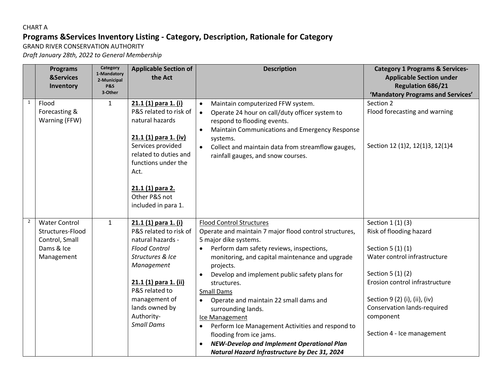## CHART A **Programs &Services Inventory Listing - Category, Description, Rationale for Category**

GRAND RIVER CONSERVATION AUTHORITY

*Draft January 28th, 2022 to General Membership* 

|                | <b>Programs</b>                         | Category<br>1-Mandatory | <b>Applicable Section of</b>                                                                                                                                            | <b>Description</b>                                                                                                                                                                                                                                                                                                 | <b>Category 1 Programs &amp; Services-</b>                                    |
|----------------|-----------------------------------------|-------------------------|-------------------------------------------------------------------------------------------------------------------------------------------------------------------------|--------------------------------------------------------------------------------------------------------------------------------------------------------------------------------------------------------------------------------------------------------------------------------------------------------------------|-------------------------------------------------------------------------------|
|                | <b>&amp;Services</b>                    | 2-Municipal             | the Act                                                                                                                                                                 |                                                                                                                                                                                                                                                                                                                    | <b>Applicable Section under</b>                                               |
|                | Inventory                               | <b>P&amp;S</b>          |                                                                                                                                                                         |                                                                                                                                                                                                                                                                                                                    | <b>Regulation 686/21</b>                                                      |
| $\mathbf{1}$   |                                         | 3-Other                 |                                                                                                                                                                         |                                                                                                                                                                                                                                                                                                                    | 'Mandatory Programs and Services'                                             |
|                | Flood<br>Forecasting &<br>Warning (FFW) | $\mathbf{1}$            | 21.1 (1) para 1. (i)<br>P&S related to risk of<br>natural hazards<br>21.1 (1) para 1. (iv)<br>Services provided<br>related to duties and<br>functions under the<br>Act. | Maintain computerized FFW system.<br>$\bullet$<br>Operate 24 hour on call/duty officer system to<br>$\bullet$<br>respond to flooding events.<br>Maintain Communications and Emergency Response<br>$\bullet$<br>systems.<br>Collect and maintain data from streamflow gauges,<br>rainfall gauges, and snow courses. | Section 2<br>Flood forecasting and warning<br>Section 12 (1)2, 12(1)3, 12(1)4 |
|                |                                         |                         | 21.1 (1) para 2.<br>Other P&S not<br>included in para 1.                                                                                                                |                                                                                                                                                                                                                                                                                                                    |                                                                               |
| $\overline{2}$ | <b>Water Control</b>                    | $\mathbf{1}$            | 21.1 (1) para 1. (i)                                                                                                                                                    | <b>Flood Control Structures</b>                                                                                                                                                                                                                                                                                    | Section 1 (1) (3)                                                             |
|                | Structures-Flood<br>Control, Small      |                         | P&S related to risk of<br>natural hazards -                                                                                                                             | Operate and maintain 7 major flood control structures,<br>5 major dike systems.                                                                                                                                                                                                                                    | Risk of flooding hazard                                                       |
|                | Dams & Ice                              |                         | <b>Flood Control</b>                                                                                                                                                    | Perform dam safety reviews, inspections,                                                                                                                                                                                                                                                                           | Section 5 (1) (1)                                                             |
|                | Management                              |                         | Structures & Ice                                                                                                                                                        | $\bullet$                                                                                                                                                                                                                                                                                                          | Water control infrastructure                                                  |
|                |                                         |                         | Management                                                                                                                                                              | monitoring, and capital maintenance and upgrade<br>projects.                                                                                                                                                                                                                                                       |                                                                               |
|                |                                         |                         |                                                                                                                                                                         | Develop and implement public safety plans for                                                                                                                                                                                                                                                                      | Section 5 (1) (2)                                                             |
|                |                                         |                         | 21.1 (1) para 1. (ii)                                                                                                                                                   | structures.                                                                                                                                                                                                                                                                                                        | Erosion control infrastructure                                                |
|                |                                         |                         | P&S related to                                                                                                                                                          | <b>Small Dams</b>                                                                                                                                                                                                                                                                                                  |                                                                               |
|                |                                         |                         | management of                                                                                                                                                           | Operate and maintain 22 small dams and<br>$\bullet$                                                                                                                                                                                                                                                                | Section 9 (2) (i), (ii), (iv)                                                 |
|                |                                         |                         | lands owned by                                                                                                                                                          | surrounding lands.                                                                                                                                                                                                                                                                                                 | <b>Conservation lands-required</b>                                            |
|                |                                         |                         | Authority-                                                                                                                                                              | Ice Management                                                                                                                                                                                                                                                                                                     | component                                                                     |
|                |                                         |                         | <b>Small Dams</b>                                                                                                                                                       | Perform Ice Management Activities and respond to                                                                                                                                                                                                                                                                   |                                                                               |
|                |                                         |                         |                                                                                                                                                                         | flooding from ice jams.                                                                                                                                                                                                                                                                                            | Section 4 - Ice management                                                    |
|                |                                         |                         |                                                                                                                                                                         | <b>NEW-Develop and Implement Operational Plan</b>                                                                                                                                                                                                                                                                  |                                                                               |
|                |                                         |                         |                                                                                                                                                                         | Natural Hazard Infrastructure by Dec 31, 2024                                                                                                                                                                                                                                                                      |                                                                               |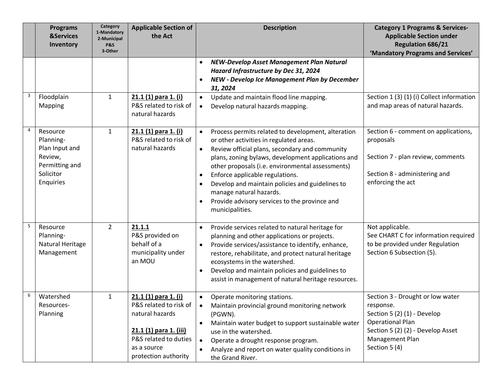|                | <b>Programs</b><br><b>&amp;Services</b><br>Inventory                                           | Category<br>1-Mandatory<br>2-Municipal<br>P&S<br>3-Other | <b>Applicable Section of</b><br>the Act                                                                                                                     | <b>Description</b>                                                                                                                                                                                                                                                                                                                                                                                                                                                                                              | <b>Category 1 Programs &amp; Services-</b><br><b>Applicable Section under</b><br><b>Regulation 686/21</b><br>'Mandatory Programs and Services'                                   |
|----------------|------------------------------------------------------------------------------------------------|----------------------------------------------------------|-------------------------------------------------------------------------------------------------------------------------------------------------------------|-----------------------------------------------------------------------------------------------------------------------------------------------------------------------------------------------------------------------------------------------------------------------------------------------------------------------------------------------------------------------------------------------------------------------------------------------------------------------------------------------------------------|----------------------------------------------------------------------------------------------------------------------------------------------------------------------------------|
| 3              | Floodplain<br><b>Mapping</b>                                                                   | 1                                                        | 21.1 (1) para 1. (i)<br>P&S related to risk of<br>natural hazards                                                                                           | NEW-Develop Asset Management Plan Natural<br>$\bullet$<br>Hazard Infrastructure by Dec 31, 2024<br><b>NEW - Develop Ice Management Plan by December</b><br>$\bullet$<br>31, 2024<br>Update and maintain flood line mapping.<br>$\bullet$<br>Develop natural hazards mapping.<br>$\bullet$                                                                                                                                                                                                                       | Section 1 (3) (1) (i) Collect information<br>and map areas of natural hazards.                                                                                                   |
| $\overline{4}$ | Resource<br>Planning-<br>Plan Input and<br>Review,<br>Permitting and<br>Solicitor<br>Enquiries | $\mathbf{1}$                                             | 21.1 (1) para 1. (i)<br>P&S related to risk of<br>natural hazards                                                                                           | Process permits related to development, alteration<br>$\bullet$<br>or other activities in regulated areas.<br>Review official plans, secondary and community<br>$\bullet$<br>plans, zoning bylaws, development applications and<br>other proposals (i.e. environmental assessments)<br>Enforce applicable regulations.<br>$\bullet$<br>Develop and maintain policies and guidelines to<br>$\bullet$<br>manage natural hazards.<br>Provide advisory services to the province and<br>$\bullet$<br>municipalities. | Section 6 - comment on applications,<br>proposals<br>Section 7 - plan review, comments<br>Section 8 - administering and<br>enforcing the act                                     |
| 5              | Resource<br>Planning-<br>Natural Heritage<br>Management                                        | $\overline{2}$                                           | 21.1.1<br>P&S provided on<br>behalf of a<br>municipality under<br>an MOU                                                                                    | Provide services related to natural heritage for<br>$\bullet$<br>planning and other applications or projects.<br>Provide services/assistance to identify, enhance,<br>$\bullet$<br>restore, rehabilitate, and protect natural heritage<br>ecosystems in the watershed.<br>Develop and maintain policies and guidelines to<br>$\bullet$<br>assist in management of natural heritage resources.                                                                                                                   | Not applicable.<br>See CHART C for information required<br>to be provided under Regulation<br>Section 6 Subsection (5).                                                          |
| 6              | Watershed<br>Resources-<br>Planning                                                            | 1                                                        | 21.1 (1) para 1. (i)<br>P&S related to risk of<br>natural hazards<br>21.1 (1) para 1. (iii)<br>P&S related to duties<br>as a source<br>protection authority | Operate monitoring stations.<br>Maintain provincial ground monitoring network<br>(PGWN).<br>Maintain water budget to support sustainable water<br>$\bullet$<br>use in the watershed.<br>$\bullet$<br>Operate a drought response program.<br>Analyze and report on water quality conditions in<br>the Grand River.                                                                                                                                                                                               | Section 3 - Drought or low water<br>response.<br>Section 5 (2) (1) - Develop<br><b>Operational Plan</b><br>Section 5 (2) (2) - Develop Asset<br>Management Plan<br>Section 5 (4) |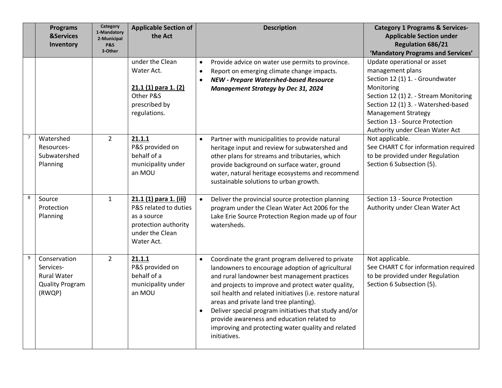|                | <b>Programs</b><br><b>&amp;Services</b><br>Inventory                                | Category<br>1-Mandatory<br>2-Municipal<br><b>P&amp;S</b><br>3-Other | <b>Applicable Section of</b><br>the Act                                                                                 |                                     | <b>Description</b>                                                                                                                                                                                                                                                                                                                                                                                                                                                                               | <b>Category 1 Programs &amp; Services-</b><br><b>Applicable Section under</b><br><b>Regulation 686/21</b><br>'Mandatory Programs and Services'                                                                                                                                      |
|----------------|-------------------------------------------------------------------------------------|---------------------------------------------------------------------|-------------------------------------------------------------------------------------------------------------------------|-------------------------------------|--------------------------------------------------------------------------------------------------------------------------------------------------------------------------------------------------------------------------------------------------------------------------------------------------------------------------------------------------------------------------------------------------------------------------------------------------------------------------------------------------|-------------------------------------------------------------------------------------------------------------------------------------------------------------------------------------------------------------------------------------------------------------------------------------|
|                |                                                                                     |                                                                     | under the Clean<br>Water Act.<br>$21.1(1)$ para 1. (2)<br>Other P&S<br>prescribed by<br>regulations.                    | $\bullet$<br>$\bullet$<br>$\bullet$ | Provide advice on water use permits to province.<br>Report on emerging climate change impacts.<br><b>NEW - Prepare Watershed-based Resource</b><br><b>Management Strategy by Dec 31, 2024</b>                                                                                                                                                                                                                                                                                                    | Update operational or asset<br>management plans<br>Section 12 (1) 1. - Groundwater<br>Monitoring<br>Section 12 (1) 2. - Stream Monitoring<br>Section 12 (1) 3. - Watershed-based<br><b>Management Strategy</b><br>Section 13 - Source Protection<br>Authority under Clean Water Act |
| $\overline{7}$ | Watershed<br>Resources-<br>Subwatershed<br>Planning                                 | $\overline{2}$                                                      | 21.1.1<br>P&S provided on<br>behalf of a<br>municipality under<br>an MOU                                                |                                     | Partner with municipalities to provide natural<br>heritage input and review for subwatershed and<br>other plans for streams and tributaries, which<br>provide background on surface water, ground<br>water, natural heritage ecosystems and recommend<br>sustainable solutions to urban growth.                                                                                                                                                                                                  | Not applicable.<br>See CHART C for information required<br>to be provided under Regulation<br>Section 6 Subsection (5).                                                                                                                                                             |
| 8              | Source<br>Protection<br>Planning                                                    | $\mathbf{1}$                                                        | 21.1 (1) para 1. (iii)<br>P&S related to duties<br>as a source<br>protection authority<br>under the Clean<br>Water Act. |                                     | Deliver the provincial source protection planning<br>program under the Clean Water Act 2006 for the<br>Lake Erie Source Protection Region made up of four<br>watersheds.                                                                                                                                                                                                                                                                                                                         | Section 13 - Source Protection<br>Authority under Clean Water Act                                                                                                                                                                                                                   |
| 9              | Conservation<br>Services-<br><b>Rural Water</b><br><b>Quality Program</b><br>(RWQP) | $\overline{2}$                                                      | 21.1.1<br>P&S provided on<br>behalf of a<br>municipality under<br>an MOU                                                | $\bullet$<br>$\bullet$              | Coordinate the grant program delivered to private<br>landowners to encourage adoption of agricultural<br>and rural landowner best management practices<br>and projects to improve and protect water quality,<br>soil health and related initiatives (i.e. restore natural<br>areas and private land tree planting).<br>Deliver special program initiatives that study and/or<br>provide awareness and education related to<br>improving and protecting water quality and related<br>initiatives. | Not applicable.<br>See CHART C for information required<br>to be provided under Regulation<br>Section 6 Subsection (5).                                                                                                                                                             |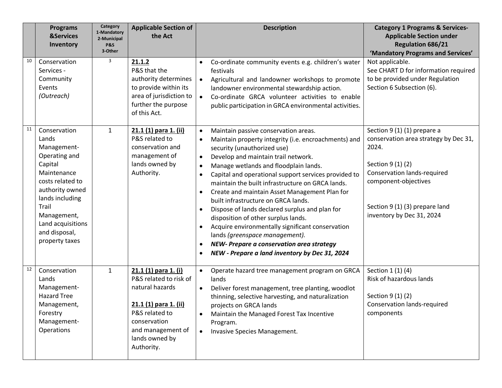|    | <b>Programs</b><br><b>&amp;Services</b><br>Inventory                                                                                                                                                                      | Category<br>1-Mandatory<br>2-Municipal<br>P&S<br>3-Other | <b>Applicable Section of</b><br>the Act                                                                                                                                           | <b>Description</b>                                                                                                                                                                                                                                                                                                                                                                                                                                                                                                                                                                                                                                                                                                                                                                                         | <b>Category 1 Programs &amp; Services-</b><br><b>Applicable Section under</b><br><b>Regulation 686/21</b><br>'Mandatory Programs and Services'                                                                           |
|----|---------------------------------------------------------------------------------------------------------------------------------------------------------------------------------------------------------------------------|----------------------------------------------------------|-----------------------------------------------------------------------------------------------------------------------------------------------------------------------------------|------------------------------------------------------------------------------------------------------------------------------------------------------------------------------------------------------------------------------------------------------------------------------------------------------------------------------------------------------------------------------------------------------------------------------------------------------------------------------------------------------------------------------------------------------------------------------------------------------------------------------------------------------------------------------------------------------------------------------------------------------------------------------------------------------------|--------------------------------------------------------------------------------------------------------------------------------------------------------------------------------------------------------------------------|
| 10 | Conservation<br>Services -<br>Community<br>Events<br>(Outreach)                                                                                                                                                           | 3                                                        | 21.1.2<br>P&S that the<br>authority determines<br>to provide within its<br>area of jurisdiction to<br>further the purpose<br>of this Act.                                         | Co-ordinate community events e.g. children's water<br>$\bullet$<br>festivals<br>Agricultural and landowner workshops to promote<br>$\bullet$<br>landowner environmental stewardship action.<br>Co-ordinate GRCA volunteer activities to enable<br>$\bullet$<br>public participation in GRCA environmental activities.                                                                                                                                                                                                                                                                                                                                                                                                                                                                                      | Not applicable.<br>See CHART D for information required<br>to be provided under Regulation<br>Section 6 Subsection (6).                                                                                                  |
| 11 | Conservation<br>Lands<br>Management-<br>Operating and<br>Capital<br>Maintenance<br>costs related to<br>authority owned<br>lands including<br>Trail<br>Management,<br>Land acquisitions<br>and disposal,<br>property taxes | $\mathbf{1}$                                             | 21.1 (1) para 1. (ii)<br>P&S related to<br>conservation and<br>management of<br>lands owned by<br>Authority.                                                                      | Maintain passive conservation areas.<br>$\bullet$<br>Maintain property integrity (i.e. encroachments) and<br>security (unauthorized use)<br>Develop and maintain trail network.<br>$\bullet$<br>Manage wetlands and floodplain lands.<br>$\bullet$<br>Capital and operational support services provided to<br>$\bullet$<br>maintain the built infrastructure on GRCA lands.<br>Create and maintain Asset Management Plan for<br>٠<br>built infrastructure on GRCA lands.<br>Dispose of lands declared surplus and plan for<br>$\bullet$<br>disposition of other surplus lands.<br>Acquire environmentally significant conservation<br>$\bullet$<br>lands (greenspace management).<br>NEW- Prepare a conservation area strategy<br>$\bullet$<br>NEW - Prepare a land inventory by Dec 31, 2024<br>$\bullet$ | Section 9 (1) (1) prepare a<br>conservation area strategy by Dec 31,<br>2024.<br>Section 9 (1) (2)<br>Conservation lands-required<br>component-objectives<br>Section 9 (1) (3) prepare land<br>inventory by Dec 31, 2024 |
| 12 | Conservation<br>Lands<br>Management-<br><b>Hazard Tree</b><br>Management,<br>Forestry<br>Management-<br>Operations                                                                                                        | $\mathbf{1}$                                             | 21.1 (1) para 1. (i)<br>P&S related to risk of<br>natural hazards<br>21.1 (1) para 1. (ii)<br>P&S related to<br>conservation<br>and management of<br>lands owned by<br>Authority. | $\bullet$<br>Operate hazard tree management program on GRCA<br>lands<br>Deliver forest management, tree planting, woodlot<br>thinning, selective harvesting, and naturalization<br>projects on GRCA lands<br>Maintain the Managed Forest Tax Incentive<br>Program.<br>Invasive Species Management.<br>$\bullet$                                                                                                                                                                                                                                                                                                                                                                                                                                                                                            | Section 1 (1) (4)<br>Risk of hazardous lands<br>Section 9 (1) (2)<br>Conservation lands-required<br>components                                                                                                           |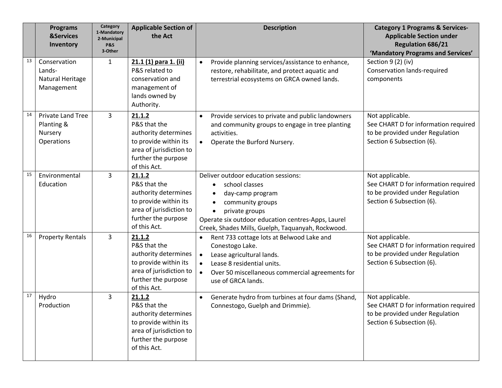|    | <b>Programs</b><br><b>&amp;Services</b><br>Inventory            | Category<br>1-Mandatory<br>2-Municipal<br>P&S<br>3-Other | <b>Applicable Section of</b><br>the Act                                                                                                   | <b>Description</b>                                                                                                                                                                                                                                   | <b>Category 1 Programs &amp; Services-</b><br><b>Applicable Section under</b><br><b>Regulation 686/21</b><br>'Mandatory Programs and Services' |
|----|-----------------------------------------------------------------|----------------------------------------------------------|-------------------------------------------------------------------------------------------------------------------------------------------|------------------------------------------------------------------------------------------------------------------------------------------------------------------------------------------------------------------------------------------------------|------------------------------------------------------------------------------------------------------------------------------------------------|
| 13 | Conservation<br>Lands-<br>Natural Heritage<br>Management        | $\mathbf{1}$                                             | 21.1 (1) para 1. (ii)<br>P&S related to<br>conservation and<br>management of<br>lands owned by<br>Authority.                              | Provide planning services/assistance to enhance,<br>restore, rehabilitate, and protect aquatic and<br>terrestrial ecosystems on GRCA owned lands.                                                                                                    | Section 9 (2) (iv)<br><b>Conservation lands-required</b><br>components                                                                         |
| 14 | <b>Private Land Tree</b><br>Planting &<br>Nursery<br>Operations | 3                                                        | 21.1.2<br>P&S that the<br>authority determines<br>to provide within its<br>area of jurisdiction to<br>further the purpose<br>of this Act. | Provide services to private and public landowners<br>$\bullet$<br>and community groups to engage in tree planting<br>activities.<br>Operate the Burford Nursery.                                                                                     | Not applicable.<br>See CHART D for information required<br>to be provided under Regulation<br>Section 6 Subsection (6).                        |
| 15 | Environmental<br>Education                                      | 3                                                        | 21.1.2<br>P&S that the<br>authority determines<br>to provide within its<br>area of jurisdiction to<br>further the purpose<br>of this Act. | Deliver outdoor education sessions:<br>school classes<br>day-camp program<br>community groups<br>$\bullet$<br>private groups<br>$\bullet$<br>Operate six outdoor education centres-Apps, Laurel<br>Creek, Shades Mills, Guelph, Taquanyah, Rockwood. | Not applicable.<br>See CHART D for information required<br>to be provided under Regulation<br>Section 6 Subsection (6).                        |
| 16 | <b>Property Rentals</b>                                         | 3                                                        | 21.1.2<br>P&S that the<br>authority determines<br>to provide within its<br>area of jurisdiction to<br>further the purpose<br>of this Act. | Rent 733 cottage lots at Belwood Lake and<br>$\bullet$<br>Conestogo Lake.<br>Lease agricultural lands.<br>$\bullet$<br>Lease 8 residential units.<br>$\bullet$<br>Over 50 miscellaneous commercial agreements for<br>$\bullet$<br>use of GRCA lands. | Not applicable.<br>See CHART D for information required<br>to be provided under Regulation<br>Section 6 Subsection (6).                        |
| 17 | Hydro<br>Production                                             | 3                                                        | 21.1.2<br>P&S that the<br>authority determines<br>to provide within its<br>area of jurisdiction to<br>further the purpose<br>of this Act. | Generate hydro from turbines at four dams (Shand,<br>Connestogo, Guelph and Drimmie).                                                                                                                                                                | Not applicable.<br>See CHART D for information required<br>to be provided under Regulation<br>Section 6 Subsection (6).                        |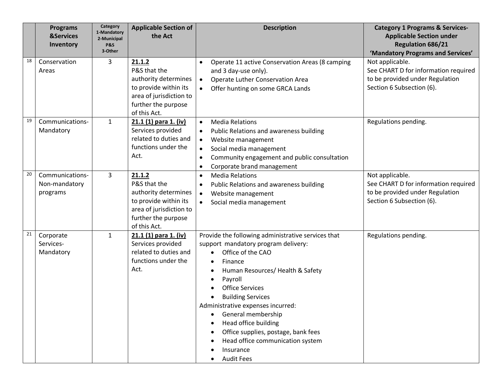|    | <b>Programs</b><br><b>&amp;Services</b><br>Inventory | Category<br>1-Mandatory<br>2-Municipal<br><b>P&amp;S</b><br>3-Other | <b>Applicable Section of</b><br>the Act                                                                                                   | <b>Description</b>                                                                                                                                                                                                                                                                                                                                                                                                                                       | <b>Category 1 Programs &amp; Services-</b><br><b>Applicable Section under</b><br><b>Regulation 686/21</b><br>'Mandatory Programs and Services' |
|----|------------------------------------------------------|---------------------------------------------------------------------|-------------------------------------------------------------------------------------------------------------------------------------------|----------------------------------------------------------------------------------------------------------------------------------------------------------------------------------------------------------------------------------------------------------------------------------------------------------------------------------------------------------------------------------------------------------------------------------------------------------|------------------------------------------------------------------------------------------------------------------------------------------------|
| 18 | Conservation<br>Areas                                | 3                                                                   | 21.1.2<br>P&S that the<br>authority determines<br>to provide within its<br>area of jurisdiction to<br>further the purpose<br>of this Act. | Operate 11 active Conservation Areas (8 camping<br>$\bullet$<br>and 3 day-use only).<br>Operate Luther Conservation Area<br>$\bullet$<br>Offer hunting on some GRCA Lands                                                                                                                                                                                                                                                                                | Not applicable.<br>See CHART D for information required<br>to be provided under Regulation<br>Section 6 Subsection (6).                        |
| 19 | Communications-<br>Mandatory                         | $\mathbf{1}$                                                        | 21.1 (1) para 1. (iv)<br>Services provided<br>related to duties and<br>functions under the<br>Act.                                        | <b>Media Relations</b><br>$\bullet$<br>Public Relations and awareness building<br>Website management<br>$\bullet$<br>Social media management<br>$\bullet$<br>Community engagement and public consultation<br>$\bullet$<br>Corporate brand management<br>$\bullet$                                                                                                                                                                                        | Regulations pending.                                                                                                                           |
| 20 | Communications-<br>Non-mandatory<br>programs         | 3                                                                   | 21.1.2<br>P&S that the<br>authority determines<br>to provide within its<br>area of jurisdiction to<br>further the purpose<br>of this Act. | <b>Media Relations</b><br>$\bullet$<br>Public Relations and awareness building<br>$\bullet$<br>Website management<br>$\bullet$<br>Social media management                                                                                                                                                                                                                                                                                                | Not applicable.<br>See CHART D for information required<br>to be provided under Regulation<br>Section 6 Subsection (6).                        |
| 21 | Corporate<br>Services-<br>Mandatory                  | $\mathbf{1}$                                                        | 21.1 (1) para 1. (iv)<br>Services provided<br>related to duties and<br>functions under the<br>Act.                                        | Provide the following administrative services that<br>support mandatory program delivery:<br>Office of the CAO<br>$\bullet$<br>Finance<br>Human Resources/ Health & Safety<br>Payroll<br>$\bullet$<br><b>Office Services</b><br><b>Building Services</b><br>Administrative expenses incurred:<br>General membership<br>Head office building<br>Office supplies, postage, bank fees<br>Head office communication system<br>Insurance<br><b>Audit Fees</b> | Regulations pending.                                                                                                                           |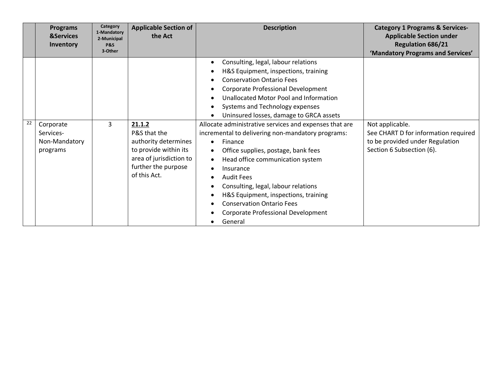|    | <b>Programs</b><br><b>&amp;Services</b><br>Inventory | Category<br>1-Mandatory<br>2-Municipal<br><b>P&amp;S</b><br>3-Other | <b>Applicable Section of</b><br>the Act                                                                                                   | <b>Description</b>                                                                                                                                                                                                                                                                                                                                                                                                                | <b>Category 1 Programs &amp; Services-</b><br><b>Applicable Section under</b><br><b>Regulation 686/21</b><br>'Mandatory Programs and Services' |
|----|------------------------------------------------------|---------------------------------------------------------------------|-------------------------------------------------------------------------------------------------------------------------------------------|-----------------------------------------------------------------------------------------------------------------------------------------------------------------------------------------------------------------------------------------------------------------------------------------------------------------------------------------------------------------------------------------------------------------------------------|------------------------------------------------------------------------------------------------------------------------------------------------|
|    |                                                      |                                                                     |                                                                                                                                           | Consulting, legal, labour relations<br>H&S Equipment, inspections, training<br><b>Conservation Ontario Fees</b><br>Corporate Professional Development<br>Unallocated Motor Pool and Information<br>Systems and Technology expenses<br>Uninsured losses, damage to GRCA assets                                                                                                                                                     |                                                                                                                                                |
| 22 | Corporate<br>Services-<br>Non-Mandatory<br>programs  | 3                                                                   | 21.1.2<br>P&S that the<br>authority determines<br>to provide within its<br>area of jurisdiction to<br>further the purpose<br>of this Act. | Allocate administrative services and expenses that are<br>incremental to delivering non-mandatory programs:<br>Finance<br>$\bullet$<br>Office supplies, postage, bank fees<br>Head office communication system<br>$\bullet$<br>Insurance<br><b>Audit Fees</b><br>Consulting, legal, labour relations<br>H&S Equipment, inspections, training<br><b>Conservation Ontario Fees</b><br>Corporate Professional Development<br>General | Not applicable.<br>See CHART D for information required<br>to be provided under Regulation<br>Section 6 Subsection (6).                        |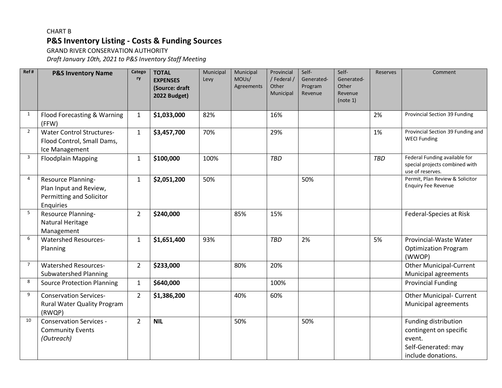## CHART B **P&S Inventory Listing - Costs & Funding Sources**

GRAND RIVER CONSERVATION AUTHORITY

*Draft January 10th, 2021 to P&S Inventory Staff Meeting* 

| Ref#           | <b>P&amp;S Inventory Name</b>                                                         | Catego<br>ry   | <b>TOTAL</b><br><b>EXPENSES</b><br>(Source: draft<br>2022 Budget) | Municipal<br>Levy | Municipal<br>MOUs/<br>Agreements | Provincial<br>/ Federal /<br>Other<br>Municipal | Self-<br>Generated-<br>Program<br>Revenue | Self-<br>Generated-<br>Other<br>Revenue<br>(note 1) | <b>Reserves</b> | Comment                                                                                               |
|----------------|---------------------------------------------------------------------------------------|----------------|-------------------------------------------------------------------|-------------------|----------------------------------|-------------------------------------------------|-------------------------------------------|-----------------------------------------------------|-----------------|-------------------------------------------------------------------------------------------------------|
| $\mathbf{1}$   | Flood Forecasting & Warning<br>(FFW)                                                  | $\mathbf{1}$   | \$1,033,000                                                       | 82%               |                                  | 16%                                             |                                           |                                                     | 2%              | Provincial Section 39 Funding                                                                         |
| $\overline{2}$ | <b>Water Control Structures-</b><br>Flood Control, Small Dams,<br>Ice Management      | $\mathbf{1}$   | \$3,457,700                                                       | 70%               |                                  | 29%                                             |                                           |                                                     | 1%              | Provincial Section 39 Funding and<br><b>WECI Funding</b>                                              |
| $\overline{3}$ | <b>Floodplain Mapping</b>                                                             | $\mathbf{1}$   | \$100,000                                                         | 100%              |                                  | <b>TBD</b>                                      |                                           |                                                     | <b>TBD</b>      | Federal Funding available for<br>special projects combined with<br>use of reserves.                   |
| 4              | Resource Planning-<br>Plan Input and Review,<br>Permitting and Solicitor<br>Enquiries | $\mathbf{1}$   | \$2,051,200                                                       | 50%               |                                  |                                                 | 50%                                       |                                                     |                 | Permit, Plan Review & Solicitor<br><b>Enquiry Fee Revenue</b>                                         |
| 5              | Resource Planning-<br>Natural Heritage<br>Management                                  | $\overline{2}$ | \$240,000                                                         |                   | 85%                              | 15%                                             |                                           |                                                     |                 | Federal-Species at Risk                                                                               |
| 6              | <b>Watershed Resources-</b><br>Planning                                               | $\mathbf{1}$   | \$1,651,400                                                       | 93%               |                                  | <b>TBD</b>                                      | 2%                                        |                                                     | 5%              | Provincial-Waste Water<br><b>Optimization Program</b><br>(WWOP)                                       |
| $\overline{7}$ | <b>Watershed Resources-</b><br><b>Subwatershed Planning</b>                           | $2^{\circ}$    | \$233,000                                                         |                   | 80%                              | 20%                                             |                                           |                                                     |                 | <b>Other Municipal-Current</b><br>Municipal agreements                                                |
| 8              | <b>Source Protection Planning</b>                                                     | $\mathbf{1}$   | \$640,000                                                         |                   |                                  | 100%                                            |                                           |                                                     |                 | <b>Provincial Funding</b>                                                                             |
| 9              | <b>Conservation Services-</b><br><b>Rural Water Quality Program</b><br>(RWQP)         | $\overline{2}$ | \$1,386,200                                                       |                   | 40%                              | 60%                                             |                                           |                                                     |                 | <b>Other Municipal- Current</b><br>Municipal agreements                                               |
| 10             | <b>Conservation Services -</b><br><b>Community Events</b><br>(Outreach)               | $\overline{2}$ | <b>NIL</b>                                                        |                   | 50%                              |                                                 | 50%                                       |                                                     |                 | Funding distribution<br>contingent on specific<br>event.<br>Self-Generated: may<br>include donations. |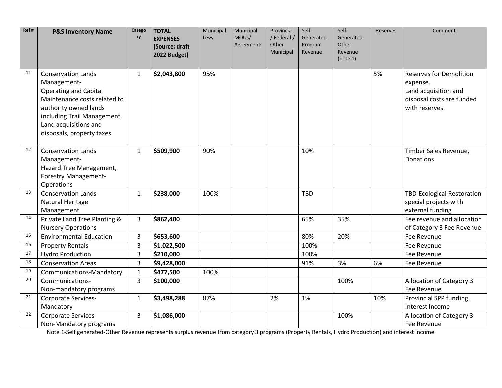| Ref# | <b>P&amp;S Inventory Name</b>                                                                                                                                                                                          | Catego<br>ry   | <b>TOTAL</b><br><b>EXPENSES</b> | Municipal<br>Levy | Municipal<br>MOUs/ | Provincial<br>/Federal / | Self-<br>Generated- | Self-<br>Generated- | <b>Reserves</b> | Comment                                                                                                           |
|------|------------------------------------------------------------------------------------------------------------------------------------------------------------------------------------------------------------------------|----------------|---------------------------------|-------------------|--------------------|--------------------------|---------------------|---------------------|-----------------|-------------------------------------------------------------------------------------------------------------------|
|      |                                                                                                                                                                                                                        |                | (Source: draft                  |                   | Agreements         | Other<br>Municipal       | Program<br>Revenue  | Other<br>Revenue    |                 |                                                                                                                   |
|      |                                                                                                                                                                                                                        |                | 2022 Budget)                    |                   |                    |                          |                     | (note 1)            |                 |                                                                                                                   |
| 11   | <b>Conservation Lands</b><br>Management-<br><b>Operating and Capital</b><br>Maintenance costs related to<br>authority owned lands<br>including Trail Management,<br>Land acquisitions and<br>disposals, property taxes | $\mathbf{1}$   | \$2,043,800                     | 95%               |                    |                          |                     |                     | 5%              | <b>Reserves for Demolition</b><br>expense.<br>Land acquisition and<br>disposal costs are funded<br>with reserves. |
| 12   | <b>Conservation Lands</b><br>Management-<br>Hazard Tree Management,<br><b>Forestry Management-</b><br>Operations                                                                                                       | $\mathbf{1}$   | \$509,900                       | 90%               |                    |                          | 10%                 |                     |                 | Timber Sales Revenue,<br>Donations                                                                                |
| 13   | <b>Conservation Lands-</b><br><b>Natural Heritage</b><br>Management                                                                                                                                                    | $\mathbf{1}$   | \$238,000                       | 100%              |                    |                          | <b>TBD</b>          |                     |                 | <b>TBD-Ecological Restoration</b><br>special projects with<br>external funding                                    |
| 14   | Private Land Tree Planting &<br><b>Nursery Operations</b>                                                                                                                                                              | 3              | \$862,400                       |                   |                    |                          | 65%                 | 35%                 |                 | Fee revenue and allocation<br>of Category 3 Fee Revenue                                                           |
| 15   | <b>Environmental Education</b>                                                                                                                                                                                         | 3              | \$653,600                       |                   |                    |                          | 80%                 | 20%                 |                 | Fee Revenue                                                                                                       |
| 16   | <b>Property Rentals</b>                                                                                                                                                                                                | 3              | \$1,022,500                     |                   |                    |                          | 100%                |                     |                 | Fee Revenue                                                                                                       |
| 17   | <b>Hydro Production</b>                                                                                                                                                                                                | $\overline{3}$ | \$210,000                       |                   |                    |                          | 100%                |                     |                 | Fee Revenue                                                                                                       |
| 18   | <b>Conservation Areas</b>                                                                                                                                                                                              | $\overline{3}$ | \$9,428,000                     |                   |                    |                          | 91%                 | 3%                  | 6%              | Fee Revenue                                                                                                       |
| 19   | Communications-Mandatory                                                                                                                                                                                               | $\mathbf{1}$   | \$477,500                       | 100%              |                    |                          |                     |                     |                 |                                                                                                                   |
| 20   | Communications-                                                                                                                                                                                                        | $\overline{3}$ | \$100,000                       |                   |                    |                          |                     | 100%                |                 | <b>Allocation of Category 3</b>                                                                                   |
|      | Non-mandatory programs                                                                                                                                                                                                 |                |                                 |                   |                    |                          |                     |                     |                 | Fee Revenue                                                                                                       |
| 21   | Corporate Services-<br>Mandatory                                                                                                                                                                                       | $\mathbf{1}$   | \$3,498,288                     | 87%               |                    | 2%                       | 1%                  |                     | 10%             | Provincial SPP funding,<br>Interest Income                                                                        |
| 22   | Corporate Services-<br>Non-Mandatory programs                                                                                                                                                                          | $\overline{3}$ | \$1,086,000                     |                   |                    |                          |                     | 100%                |                 | <b>Allocation of Category 3</b><br>Fee Revenue                                                                    |

Note 1-Self generated-Other Revenue represents surplus revenue from category 3 programs (Property Rentals, Hydro Production) and interest income.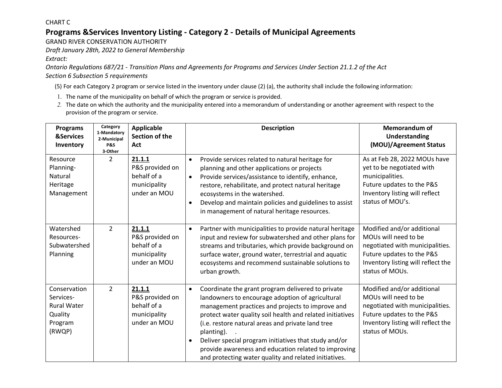CHART C

## **Programs &Services Inventory Listing - Category 2 - Details of Municipal Agreements**

GRAND RIVER CONSERVATION AUTHORITY

*Draft January 28th, 2022 to General Membership* 

*Extract:* 

*Ontario Regulations 687/21 - Transition Plans and Agreements for Programs and Services Under Section 21.1.2 of the Act Section 6 Subsection 5 requirements* 

(5) For each Category 2 program or service listed in the inventory under clause (2) (a), the authority shall include the following information:

- 1. The name of the municipality on behalf of which the program or service is provided.
- *2.* The date on which the authority and the municipality entered into a memorandum of understanding or another agreement with respect to the provision of the program or service.

| <b>Programs</b><br><b>&amp;Services</b><br>Inventory                            | Category<br>1-Mandatory<br>2-Municipal<br><b>P&amp;S</b><br>3-Other | <b>Applicable</b><br>Section of the<br>Act                               | <b>Description</b>                                                                                                                                                                                                                                                                                                                                                                                                                                                                            | <b>Memorandum of</b><br><b>Understanding</b><br>(MOU)/Agreement Status                                                                                                      |
|---------------------------------------------------------------------------------|---------------------------------------------------------------------|--------------------------------------------------------------------------|-----------------------------------------------------------------------------------------------------------------------------------------------------------------------------------------------------------------------------------------------------------------------------------------------------------------------------------------------------------------------------------------------------------------------------------------------------------------------------------------------|-----------------------------------------------------------------------------------------------------------------------------------------------------------------------------|
| Resource<br>Planning-<br>Natural<br>Heritage<br>Management                      | $\overline{2}$                                                      | 21.1.1<br>P&S provided on<br>behalf of a<br>municipality<br>under an MOU | Provide services related to natural heritage for<br>$\bullet$<br>planning and other applications or projects<br>Provide services/assistance to identify, enhance,<br>$\bullet$<br>restore, rehabilitate, and protect natural heritage<br>ecosystems in the watershed.<br>Develop and maintain policies and guidelines to assist<br>$\bullet$<br>in management of natural heritage resources.                                                                                                  | As at Feb 28, 2022 MOUs have<br>yet to be negotiated with<br>municipalities.<br>Future updates to the P&S<br>Inventory listing will reflect<br>status of MOU's.             |
| Watershed<br>Resources-<br>Subwatershed<br>Planning                             | $\overline{2}$                                                      | 21.1.1<br>P&S provided on<br>behalf of a<br>municipality<br>under an MOU | Partner with municipalities to provide natural heritage<br>$\bullet$<br>input and review for subwatershed and other plans for<br>streams and tributaries, which provide background on<br>surface water, ground water, terrestrial and aquatic<br>ecosystems and recommend sustainable solutions to<br>urban growth.                                                                                                                                                                           | Modified and/or additional<br>MOUs will need to be<br>negotiated with municipalities.<br>Future updates to the P&S<br>Inventory listing will reflect the<br>status of MOUs. |
| Conservation<br>Services-<br><b>Rural Water</b><br>Quality<br>Program<br>(RWQP) | $\overline{2}$                                                      | 21.1.1<br>P&S provided on<br>behalf of a<br>municipality<br>under an MOU | Coordinate the grant program delivered to private<br>$\bullet$<br>landowners to encourage adoption of agricultural<br>management practices and projects to improve and<br>protect water quality soil health and related initiatives<br>(i.e. restore natural areas and private land tree<br>planting).<br>Deliver special program initiatives that study and/or<br>$\bullet$<br>provide awareness and education related to improving<br>and protecting water quality and related initiatives. | Modified and/or additional<br>MOUs will need to be<br>negotiated with municipalities.<br>Future updates to the P&S<br>Inventory listing will reflect the<br>status of MOUs. |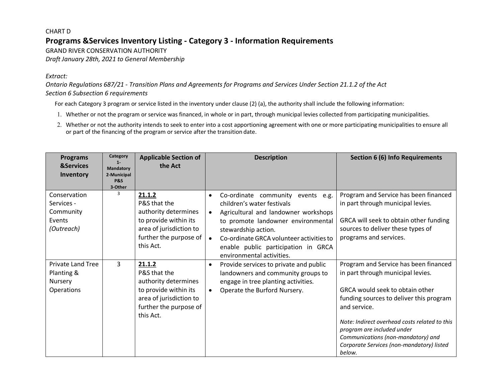#### **Programs &Services Inventory Listing - Category 3 - Information Requirements**  CHART D GRAND RIVER CONSERVATION AUTHORITY

*Draft January 28th, 2021 to General Membership* 

#### *Extract:*

*Ontario Regulations 687/21 - Transition Plans and Agreements for Programs and Services Under Section 21.1.2 of the Act Section 6 Subsection 6 requirements* 

For each Category 3 program or service listed in the inventory under clause (2) (a), the authority shall include the following information:

- 1. Whether or not the program or service was financed, in whole or in part, through municipal levies collected from participating municipalities.
- or part of the financing of the program or service after the transition date. 2. Whether or not the authority intends to seek to enter into a cost apportioning agreement with one or more participating municipalities to ensure all

| <b>Programs</b><br><b>&amp;Services</b>                         | Category<br>$1 -$<br>Mandatory           | <b>Applicable Section of</b><br>the Act                                                                                                   | <b>Description</b>                                                                                                                                                                                                                                                                                                             | <b>Section 6 (6) Info Requirements</b>                                                                                                                                                                                                                                                                                                               |
|-----------------------------------------------------------------|------------------------------------------|-------------------------------------------------------------------------------------------------------------------------------------------|--------------------------------------------------------------------------------------------------------------------------------------------------------------------------------------------------------------------------------------------------------------------------------------------------------------------------------|------------------------------------------------------------------------------------------------------------------------------------------------------------------------------------------------------------------------------------------------------------------------------------------------------------------------------------------------------|
| Inventory                                                       | 2-Municipal<br><b>P&amp;S</b><br>3-Other |                                                                                                                                           |                                                                                                                                                                                                                                                                                                                                |                                                                                                                                                                                                                                                                                                                                                      |
| Conservation<br>Services -<br>Community<br>Events<br>(Outreach) | 3                                        | 21.1.2<br>P&S that the<br>authority determines<br>to provide within its<br>area of jurisdiction to<br>further the purpose of<br>this Act. | Co-ordinate community<br>events e.g.<br>$\bullet$<br>children's water festivals<br>Agricultural and landowner workshops<br>$\bullet$<br>to promote landowner environmental<br>stewardship action.<br>Co-ordinate GRCA volunteer activities to<br>$\bullet$<br>enable public participation in GRCA<br>environmental activities. | Program and Service has been financed<br>in part through municipal levies.<br>GRCA will seek to obtain other funding<br>sources to deliver these types of<br>programs and services.                                                                                                                                                                  |
| Private Land Tree<br>Planting &<br>Nursery<br>Operations        | 3                                        | 21.1.2<br>P&S that the<br>authority determines<br>to provide within its<br>area of jurisdiction to<br>further the purpose of<br>this Act. | Provide services to private and public<br>$\bullet$<br>landowners and community groups to<br>engage in tree planting activities.<br>Operate the Burford Nursery.<br>$\bullet$                                                                                                                                                  | Program and Service has been financed<br>in part through municipal levies.<br>GRCA would seek to obtain other<br>funding sources to deliver this program<br>and service.<br>Note: Indirect overhead costs related to this<br>program are included under<br>Communications (non-mandatory) and<br>Corporate Services (non-mandatory) listed<br>below. |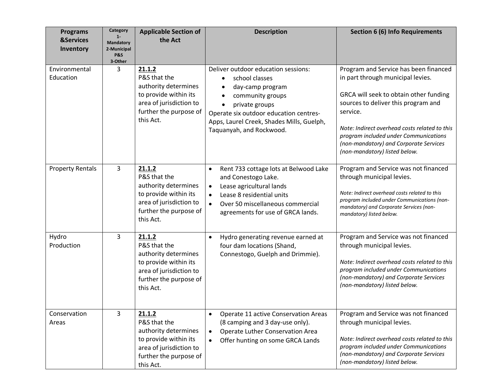| <b>Programs</b><br><b>&amp;Services</b><br>Inventory | Category<br>$1 -$<br><b>Mandatory</b><br>2-Municipal<br><b>P&amp;S</b><br>3-Other | <b>Applicable Section of</b><br>the Act                                                                                                   | <b>Description</b>                                                                                                                                                                                                                                           | <b>Section 6 (6) Info Requirements</b>                                                                                                                                                                                                                                                                                                       |
|------------------------------------------------------|-----------------------------------------------------------------------------------|-------------------------------------------------------------------------------------------------------------------------------------------|--------------------------------------------------------------------------------------------------------------------------------------------------------------------------------------------------------------------------------------------------------------|----------------------------------------------------------------------------------------------------------------------------------------------------------------------------------------------------------------------------------------------------------------------------------------------------------------------------------------------|
| Environmental<br>Education                           | 3                                                                                 | 21.1.2<br>P&S that the<br>authority determines<br>to provide within its<br>area of jurisdiction to<br>further the purpose of<br>this Act. | Deliver outdoor education sessions:<br>school classes<br>$\bullet$<br>day-camp program<br>community groups<br>$\bullet$<br>private groups<br>Operate six outdoor education centres-<br>Apps, Laurel Creek, Shades Mills, Guelph,<br>Taquanyah, and Rockwood. | Program and Service has been financed<br>in part through municipal levies.<br>GRCA will seek to obtain other funding<br>sources to deliver this program and<br>service.<br>Note: Indirect overhead costs related to this<br>program included under Communications<br>(non-mandatory) and Corporate Services<br>(non-mandatory) listed below. |
| <b>Property Rentals</b>                              | 3                                                                                 | 21.1.2<br>P&S that the<br>authority determines<br>to provide within its<br>area of jurisdiction to<br>further the purpose of<br>this Act. | Rent 733 cottage lots at Belwood Lake<br>$\bullet$<br>and Conestogo Lake.<br>Lease agricultural lands<br>$\bullet$<br>Lease 8 residential units<br>$\bullet$<br>Over 50 miscellaneous commercial<br>$\bullet$<br>agreements for use of GRCA lands.           | Program and Service was not financed<br>through municipal levies.<br>Note: Indirect overhead costs related to this<br>program included under Communications (non-<br>mandatory) and Corporate Services (non-<br>mandatory) listed below.                                                                                                     |
| Hydro<br>Production                                  | 3                                                                                 | 21.1.2<br>P&S that the<br>authority determines<br>to provide within its<br>area of jurisdiction to<br>further the purpose of<br>this Act. | Hydro generating revenue earned at<br>$\bullet$<br>four dam locations (Shand,<br>Connestogo, Guelph and Drimmie).                                                                                                                                            | Program and Service was not financed<br>through municipal levies.<br>Note: Indirect overhead costs related to this<br>program included under Communications<br>(non-mandatory) and Corporate Services<br>(non-mandatory) listed below.                                                                                                       |
| Conservation<br>Areas                                | 3                                                                                 | 21.1.2<br>P&S that the<br>authority determines<br>to provide within its<br>area of jurisdiction to<br>further the purpose of<br>this Act. | Operate 11 active Conservation Areas<br>(8 camping and 3 day-use only).<br>Operate Luther Conservation Area<br>$\bullet$<br>Offer hunting on some GRCA Lands<br>$\bullet$                                                                                    | Program and Service was not financed<br>through municipal levies.<br>Note: Indirect overhead costs related to this<br>program included under Communications<br>(non-mandatory) and Corporate Services<br>(non-mandatory) listed below.                                                                                                       |